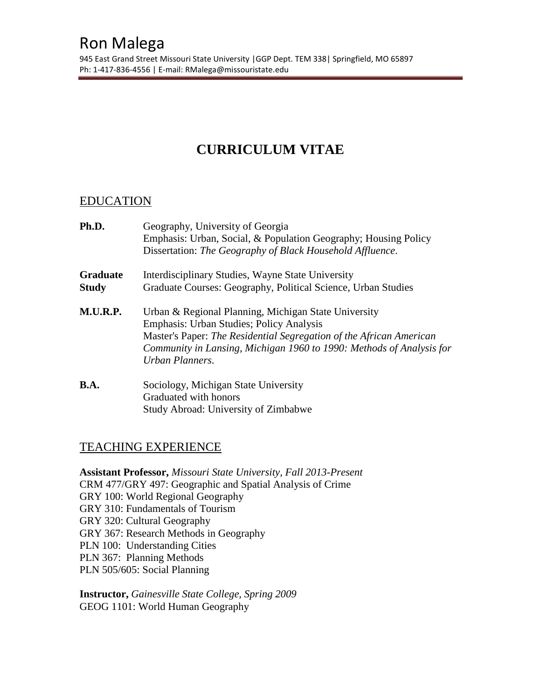# **CURRICULUM VITAE**

# EDUCATION

| Ph.D.           | Geography, University of Georgia                                     |
|-----------------|----------------------------------------------------------------------|
|                 | Emphasis: Urban, Social, & Population Geography; Housing Policy      |
|                 | Dissertation: The Geography of Black Household Affluence.            |
| <b>Graduate</b> | Interdisciplinary Studies, Wayne State University                    |
| Study           | Graduate Courses: Geography, Political Science, Urban Studies        |
| M.U.R.P.        | Urban & Regional Planning, Michigan State University                 |
|                 | Emphasis: Urban Studies; Policy Analysis                             |
|                 | Master's Paper: The Residential Segregation of the African American  |
|                 | Community in Lansing, Michigan 1960 to 1990: Methods of Analysis for |
|                 | Urban Planners.                                                      |
| B.A.            | Sociology, Michigan State University                                 |
|                 | Graduated with honors                                                |
|                 | <b>Study Abroad: University of Zimbabwe</b>                          |

# TEACHING EXPERIENCE

**Assistant Professor,** *Missouri State University, Fall 2013-Present* CRM 477/GRY 497: Geographic and Spatial Analysis of Crime GRY 100: World Regional Geography GRY 310: Fundamentals of Tourism GRY 320: Cultural Geography GRY 367: Research Methods in Geography PLN 100: Understanding Cities PLN 367: Planning Methods PLN 505/605: Social Planning

**Instructor,** *Gainesville State College, Spring 2009* GEOG 1101: World Human Geography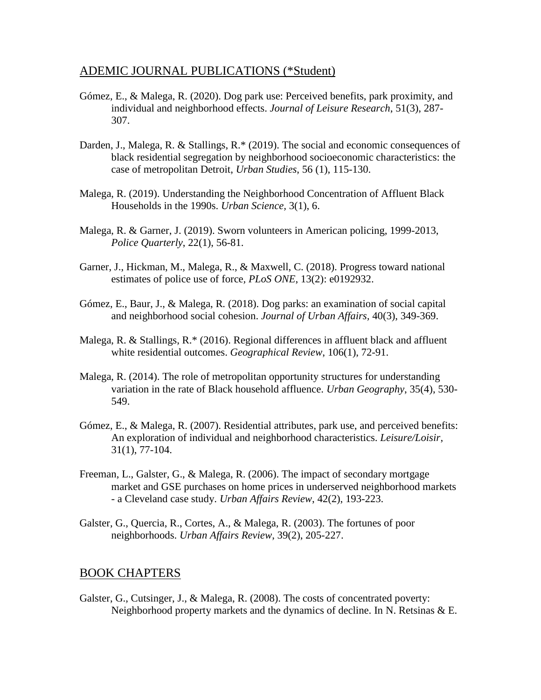# ADEMIC JOURNAL PUBLICATIONS (\*Student)

- Gómez, E., & Malega, R. (2020). Dog park use: Perceived benefits, park proximity, and individual and neighborhood effects. *Journal of Leisure Research*, 51(3), 287- 307.
- Darden, J., Malega, R. & Stallings, R.\* (2019). The social and economic consequences of black residential segregation by neighborhood socioeconomic characteristics: the case of metropolitan Detroit, *Urban Studies*, 56 (1), 115-130.
- Malega, R. (2019). Understanding the Neighborhood Concentration of Affluent Black Households in the 1990s. *Urban Science,* 3(1), 6.
- Malega, R. & Garner, J. (2019). Sworn volunteers in American policing, 1999-2013, *Police Quarterly*, 22(1), 56-81.
- Garner, J., Hickman, M., Malega, R., & Maxwell, C. (2018). Progress toward national estimates of police use of force*, PLoS ONE*, 13(2): e0192932.
- Gómez, E., Baur, J., & Malega, R*.* (2018). Dog parks: an examination of social capital and neighborhood social cohesion. *Journal of Urban Affairs,* 40(3), 349-369.
- Malega, R. & Stallings, R.\* (2016). Regional differences in affluent black and affluent white residential outcomes. *Geographical Review*, 106(1), 72-91.
- Malega, R. (2014). The role of metropolitan opportunity structures for understanding variation in the rate of Black household affluence. *Urban Geography*, 35(4), 530- 549.
- Gómez, E., & Malega, R. (2007). Residential attributes, park use, and perceived benefits: An exploration of individual and neighborhood characteristics. *Leisure/Loisir*, 31(1), 77-104.
- Freeman, L., Galster, G., & Malega, R. (2006). The impact of secondary mortgage market and GSE purchases on home prices in underserved neighborhood markets - a Cleveland case study. *Urban Affairs Review*, 42(2), 193-223.
- Galster, G., Quercia, R., Cortes, A., & Malega, R. (2003). The fortunes of poor neighborhoods. *Urban Affairs Review*, 39(2), 205-227.

## BOOK CHAPTERS

Galster, G., Cutsinger, J., & Malega, R. (2008). The costs of concentrated poverty: Neighborhood property markets and the dynamics of decline. In N. Retsinas & E.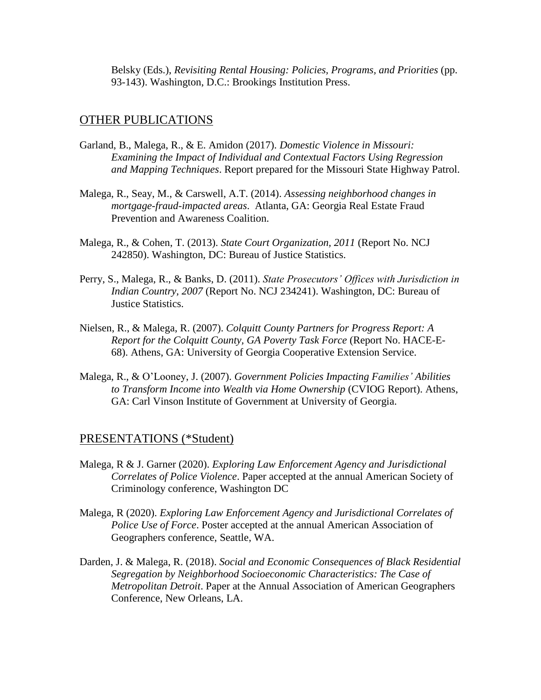Belsky (Eds.), *Revisiting Rental Housing: Policies, Programs, and Priorities* (pp. 93-143). Washington, D.C.: Brookings Institution Press.

### OTHER PUBLICATIONS

- Garland, B., Malega, R., & E. Amidon (2017). *Domestic Violence in Missouri: Examining the Impact of Individual and Contextual Factors Using Regression and Mapping Techniques*. Report prepared for the Missouri State Highway Patrol.
- Malega, R., Seay, M., & Carswell, A.T. (2014). *Assessing neighborhood changes in mortgage-fraud-impacted areas*. Atlanta, GA: Georgia Real Estate Fraud Prevention and Awareness Coalition.
- Malega, R., & Cohen, T. (2013). *State Court Organization, 2011* (Report No. NCJ 242850). Washington, DC: Bureau of Justice Statistics.
- Perry, S., Malega, R., & Banks, D. (2011). *State Prosecutors' Offices with Jurisdiction in Indian Country, 2007* (Report No. NCJ 234241). Washington, DC: Bureau of Justice Statistics.
- Nielsen, R., & Malega, R. (2007). *Colquitt County Partners for Progress Report: A Report for the Colquitt County, GA Poverty Task Force* (Report No. HACE-E-68). Athens, GA: University of Georgia Cooperative Extension Service.
- Malega, R., & O'Looney, J. (2007). *Government Policies Impacting Families' Abilities to Transform Income into Wealth via Home Ownership* (CVIOG Report). Athens, GA: Carl Vinson Institute of Government at University of Georgia.

#### PRESENTATIONS (\*Student)

- Malega, R & J. Garner (2020). *Exploring Law Enforcement Agency and Jurisdictional Correlates of Police Violence*. Paper accepted at the annual American Society of Criminology conference, Washington DC
- Malega, R (2020). *Exploring Law Enforcement Agency and Jurisdictional Correlates of Police Use of Force*. Poster accepted at the annual American Association of Geographers conference, Seattle, WA.
- Darden, J. & Malega, R. (2018). *Social and Economic Consequences of Black Residential Segregation by Neighborhood Socioeconomic Characteristics: The Case of Metropolitan Detroit*. Paper at the Annual Association of American Geographers Conference, New Orleans, LA.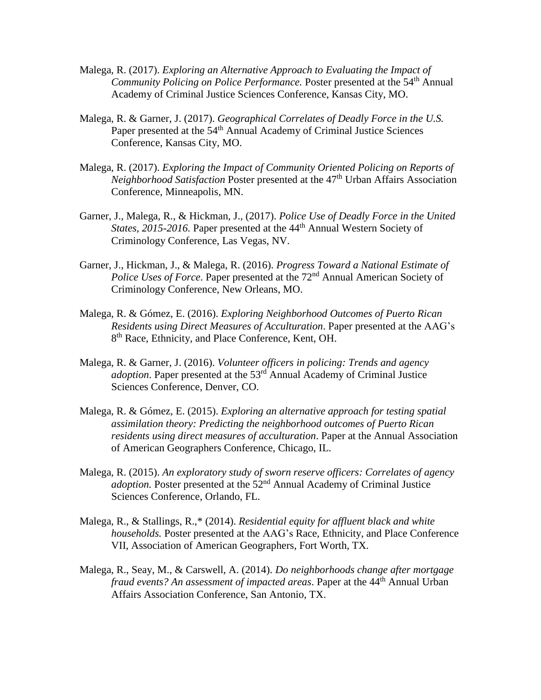- Malega, R. (2017). *Exploring an Alternative Approach to Evaluating the Impact of Community Policing on Police Performance.* Poster presented at the 54<sup>th</sup> Annual Academy of Criminal Justice Sciences Conference, Kansas City, MO.
- Malega, R. & Garner, J. (2017). *Geographical Correlates of Deadly Force in the U.S.* Paper presented at the 54<sup>th</sup> Annual Academy of Criminal Justice Sciences Conference, Kansas City, MO.
- Malega, R. (2017). *Exploring the Impact of Community Oriented Policing on Reports of Neighborhood Satisfaction* Poster presented at the 47<sup>th</sup> Urban Affairs Association Conference, Minneapolis, MN.
- Garner, J., Malega, R., & Hickman, J., (2017). *Police Use of Deadly Force in the United States, 2015-2016.* Paper presented at the 44<sup>th</sup> Annual Western Society of Criminology Conference, Las Vegas, NV.
- Garner, J., Hickman, J., & Malega, R. (2016). *Progress Toward a National Estimate of Police Uses of Force*. Paper presented at the 72<sup>nd</sup> Annual American Society of Criminology Conference, New Orleans, MO.
- Malega, R. & Gómez, E. (2016). *Exploring Neighborhood Outcomes of Puerto Rican Residents using Direct Measures of Acculturation*. Paper presented at the AAG's 8<sup>th</sup> Race, Ethnicity, and Place Conference, Kent, OH.
- Malega, R. & Garner, J. (2016). *Volunteer officers in policing: Trends and agency adoption*. Paper presented at the 53rd Annual Academy of Criminal Justice Sciences Conference, Denver, CO.
- Malega, R. & Gómez, E. (2015). *Exploring an alternative approach for testing spatial assimilation theory: Predicting the neighborhood outcomes of Puerto Rican residents using direct measures of acculturation*. Paper at the Annual Association of American Geographers Conference, Chicago, IL.
- Malega, R. (2015). *An exploratory study of sworn reserve officers: Correlates of agency adoption.* Poster presented at the 52<sup>nd</sup> Annual Academy of Criminal Justice Sciences Conference, Orlando, FL.
- Malega, R., & Stallings, R.,\* (2014). *Residential equity for affluent black and white households.* Poster presented at the AAG's Race, Ethnicity, and Place Conference VII, Association of American Geographers, Fort Worth, TX.
- Malega, R., Seay, M., & Carswell, A. (2014). *Do neighborhoods change after mortgage fraud events? An assessment of impacted areas.* Paper at the 44<sup>th</sup> Annual Urban Affairs Association Conference, San Antonio, TX.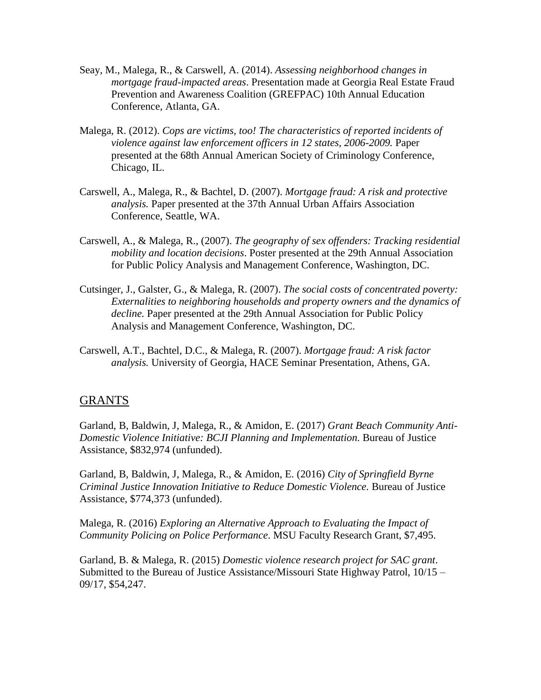- Seay, M., Malega, R., & Carswell, A. (2014). *Assessing neighborhood changes in mortgage fraud-impacted areas*. Presentation made at Georgia Real Estate Fraud Prevention and Awareness Coalition (GREFPAC) 10th Annual Education Conference, Atlanta, GA.
- Malega, R. (2012). *Cops are victims, too! The characteristics of reported incidents of violence against law enforcement officers in 12 states, 2006-2009.* Paper presented at the 68th Annual American Society of Criminology Conference, Chicago, IL.
- Carswell, A., Malega, R., & Bachtel, D. (2007). *Mortgage fraud: A risk and protective analysis.* Paper presented at the 37th Annual Urban Affairs Association Conference, Seattle, WA.
- Carswell, A., & Malega, R., (2007). *The geography of sex offenders: Tracking residential mobility and location decisions*. Poster presented at the 29th Annual Association for Public Policy Analysis and Management Conference, Washington, DC.
- Cutsinger, J., Galster, G., & Malega, R. (2007). *The social costs of concentrated poverty: Externalities to neighboring households and property owners and the dynamics of decline.* Paper presented at the 29th Annual Association for Public Policy Analysis and Management Conference, Washington, DC.
- Carswell, A.T., Bachtel, D.C., & Malega, R. (2007). *Mortgage fraud: A risk factor analysis.* University of Georgia, HACE Seminar Presentation, Athens, GA.

#### GRANTS

Garland, B, Baldwin, J, Malega, R., & Amidon, E. (2017) *Grant Beach Community Anti-Domestic Violence Initiative: BCJI Planning and Implementation.* Bureau of Justice Assistance, \$832,974 (unfunded).

Garland, B, Baldwin, J, Malega, R., & Amidon, E. (2016) *City of Springfield Byrne Criminal Justice Innovation Initiative to Reduce Domestic Violence.* Bureau of Justice Assistance, \$774,373 (unfunded).

Malega, R. (2016) *Exploring an Alternative Approach to Evaluating the Impact of Community Policing on Police Performance*. MSU Faculty Research Grant, \$7,495.

Garland, B. & Malega, R. (2015) *Domestic violence research project for SAC grant*. Submitted to the Bureau of Justice Assistance/Missouri State Highway Patrol, 10/15 – 09/17, \$54,247.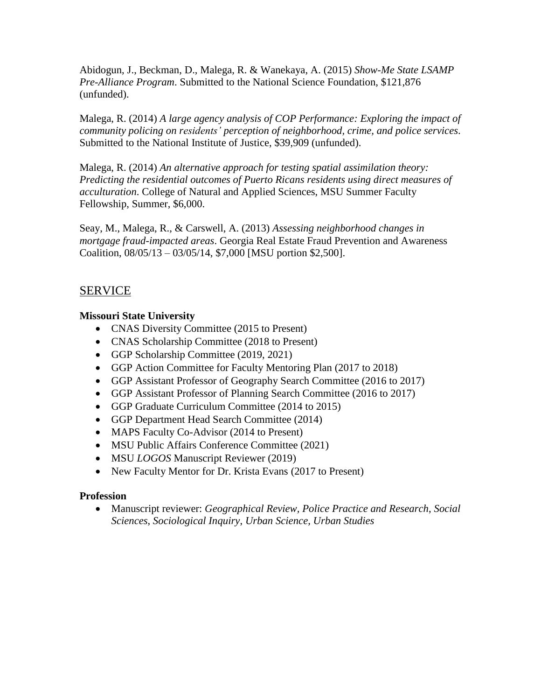Abidogun, J., Beckman, D., Malega, R. & Wanekaya, A. (2015) *Show-Me State LSAMP Pre-Alliance Program*. Submitted to the National Science Foundation, \$121,876 (unfunded).

Malega, R. (2014) *A large agency analysis of COP Performance: Exploring the impact of community policing on residents' perception of neighborhood, crime, and police services*. Submitted to the National Institute of Justice, \$39,909 (unfunded).

Malega, R. (2014) *An alternative approach for testing spatial assimilation theory: Predicting the residential outcomes of Puerto Ricans residents using direct measures of acculturation*. College of Natural and Applied Sciences, MSU Summer Faculty Fellowship, Summer, \$6,000.

Seay, M., Malega, R., & Carswell, A. (2013) *Assessing neighborhood changes in mortgage fraud-impacted areas*. Georgia Real Estate Fraud Prevention and Awareness Coalition, 08/05/13 – 03/05/14, \$7,000 [MSU portion \$2,500].

# SERVICE

## **Missouri State University**

- CNAS Diversity Committee (2015 to Present)
- CNAS Scholarship Committee (2018 to Present)
- GGP Scholarship Committee (2019, 2021)
- GGP Action Committee for Faculty Mentoring Plan (2017 to 2018)
- GGP Assistant Professor of Geography Search Committee (2016 to 2017)
- GGP Assistant Professor of Planning Search Committee (2016 to 2017)
- GGP Graduate Curriculum Committee (2014 to 2015)
- GGP Department Head Search Committee (2014)
- MAPS Faculty Co-Advisor (2014 to Present)
- MSU Public Affairs Conference Committee (2021)
- MSU *LOGOS* Manuscript Reviewer (2019)
- New Faculty Mentor for Dr. Krista Evans (2017 to Present)

## **Profession**

 Manuscript reviewer: *Geographical Review, Police Practice and Research*, *Social Sciences*, *Sociological Inquiry*, *Urban Science, Urban Studies*